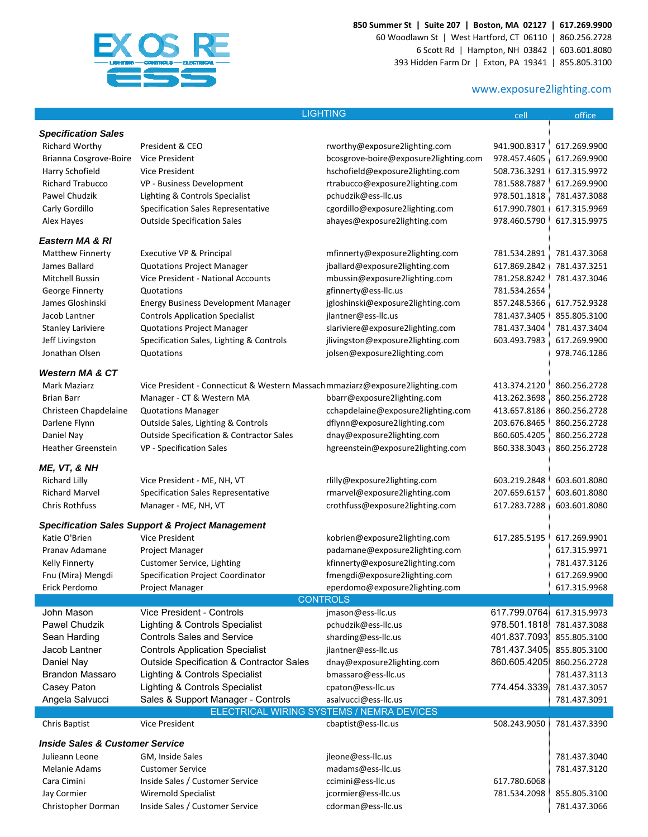

**850 Summer St | Suite 207 | Boston, MA 02127 | 617.269.9900**

60 Woodlawn St | West Hartford, CT 06110 | 860.256.2728 6 Scott Rd | Hampton, NH 03842 | 603.601.8080 393 Hidden Farm Dr | Exton, PA 19341 | 855.805.3100

## www.exposure2lighting.com

|                                            |                                                                               | <b>LIGHTING</b>                           | cell         | office       |
|--------------------------------------------|-------------------------------------------------------------------------------|-------------------------------------------|--------------|--------------|
| <b>Specification Sales</b>                 |                                                                               |                                           |              |              |
|                                            |                                                                               |                                           |              |              |
| Richard Worthy                             | President & CEO                                                               | rworthy@exposure2lighting.com             | 941.900.8317 | 617.269.9900 |
| Brianna Cosgrove-Boire                     | Vice President                                                                | bcosgrove-boire@exposure2lighting.com     | 978.457.4605 | 617.269.9900 |
| Harry Schofield                            | Vice President                                                                | hschofield@exposure2lighting.com          | 508.736.3291 | 617.315.9972 |
| <b>Richard Trabucco</b>                    | VP - Business Development                                                     | rtrabucco@exposure2lighting.com           | 781.588.7887 | 617.269.9900 |
| Pawel Chudzik                              | Lighting & Controls Specialist                                                | pchudzik@ess-llc.us                       | 978.501.1818 | 781.437.3088 |
| Carly Gordillo                             | <b>Specification Sales Representative</b>                                     | cgordillo@exposure2lighting.com           | 617.990.7801 | 617.315.9969 |
| Alex Hayes                                 | <b>Outside Specification Sales</b>                                            | ahayes@exposure2lighting.com              | 978.460.5790 | 617.315.9975 |
| Eastern MA & RI                            |                                                                               |                                           |              |              |
| <b>Matthew Finnerty</b>                    | Executive VP & Principal                                                      | mfinnerty@exposure2lighting.com           | 781.534.2891 | 781.437.3068 |
| James Ballard                              | <b>Quotations Project Manager</b>                                             | jballard@exposure2lighting.com            | 617.869.2842 | 781.437.3251 |
| Mitchell Bussin                            | Vice President - National Accounts                                            | mbussin@exposure2lighting.com             | 781.258.8242 | 781.437.3046 |
|                                            |                                                                               |                                           |              |              |
| George Finnerty                            | Quotations                                                                    | gfinnerty@ess-llc.us                      | 781.534.2654 |              |
| James Gloshinski                           | Energy Business Development Manager                                           | jgloshinski@exposure2lighting.com         | 857.248.5366 | 617.752.9328 |
| Jacob Lantner                              | <b>Controls Application Specialist</b>                                        | jlantner@ess-llc.us                       | 781.437.3405 | 855.805.3100 |
| <b>Stanley Lariviere</b>                   | <b>Quotations Project Manager</b>                                             | slariviere@exposure2lighting.com          | 781.437.3404 | 781.437.3404 |
| Jeff Livingston                            | Specification Sales, Lighting & Controls                                      | jlivingston@exposure2lighting.com         | 603.493.7983 | 617.269.9900 |
| Jonathan Olsen                             | Quotations                                                                    | jolsen@exposure2lighting.com              |              | 978.746.1286 |
| <b>Western MA &amp; CT</b>                 |                                                                               |                                           |              |              |
| Mark Maziarz                               | Vice President - Connecticut & Western Massach mmaziarz@exposure2lighting.com |                                           | 413.374.2120 | 860.256.2728 |
| <b>Brian Barr</b>                          | Manager - CT & Western MA                                                     | bbarr@exposure2lighting.com               | 413.262.3698 | 860.256.2728 |
|                                            | <b>Quotations Manager</b>                                                     | cchapdelaine@exposure2lighting.com        | 413.657.8186 | 860.256.2728 |
| Christeen Chapdelaine                      |                                                                               |                                           |              |              |
| Darlene Flynn                              | Outside Sales, Lighting & Controls                                            | dflynn@exposure2lighting.com              | 203.676.8465 | 860.256.2728 |
| Daniel Nay                                 | <b>Outside Specification &amp; Contractor Sales</b>                           | dnay@exposure2lighting.com                | 860.605.4205 | 860.256.2728 |
| <b>Heather Greenstein</b>                  | VP - Specification Sales                                                      | hgreenstein@exposure2lighting.com         | 860.338.3043 | 860.256.2728 |
| ME, VT, & NH                               |                                                                               |                                           |              |              |
| <b>Richard Lilly</b>                       | Vice President - ME, NH, VT                                                   | rlilly@exposure2lighting.com              | 603.219.2848 | 603.601.8080 |
| <b>Richard Marvel</b>                      | <b>Specification Sales Representative</b>                                     | rmarvel@exposure2lighting.com             | 207.659.6157 | 603.601.8080 |
| <b>Chris Rothfuss</b>                      | Manager - ME, NH, VT                                                          | crothfuss@exposure2lighting.com           | 617.283.7288 | 603.601.8080 |
|                                            |                                                                               |                                           |              |              |
|                                            | <b>Specification Sales Support &amp; Project Management</b>                   |                                           |              |              |
| Katie O'Brien                              | Vice President                                                                | kobrien@exposure2lighting.com             | 617.285.5195 | 617.269.9901 |
| Pranav Adamane                             | Project Manager                                                               | padamane@exposure2lighting.com            |              | 617.315.9971 |
| Kelly Finnerty                             | Customer Service, Lighting                                                    | kfinnerty@exposure2lighting.com           |              | 781.437.3126 |
| Fnu (Mira) Mengdi                          | Specification Project Coordinator                                             | fmengdi@exposure2lighting.com             |              | 617.269.9900 |
| Erick Perdomo                              | Project Manager                                                               | eperdomo@exposure2lighting.com            |              | 617.315.9968 |
|                                            |                                                                               | <b>CONTROLS</b>                           |              |              |
| John Mason                                 | <b>Vice President - Controls</b>                                              | jmason@ess-llc.us                         | 617.799.0764 | 617.315.9973 |
| Pawel Chudzik                              | Lighting & Controls Specialist                                                | pchudzik@ess-llc.us                       | 978.501.1818 | 781.437.3088 |
| Sean Harding                               | <b>Controls Sales and Service</b>                                             | sharding@ess-llc.us                       | 401.837.7093 | 855.805.3100 |
| Jacob Lantner                              | <b>Controls Application Specialist</b>                                        | jlantner@ess-llc.us                       | 781.437.3405 | 855.805.3100 |
| Daniel Nay                                 | <b>Outside Specification &amp; Contractor Sales</b>                           | dnay@exposure2lighting.com                | 860.605.4205 | 860.256.2728 |
| <b>Brandon Massaro</b>                     | Lighting & Controls Specialist                                                | bmassaro@ess-llc.us                       |              | 781.437.3113 |
| Casey Paton                                | <b>Lighting &amp; Controls Specialist</b>                                     | cpaton@ess-llc.us                         | 774.454.3339 | 781.437.3057 |
| Angela Salvucci                            | Sales & Support Manager - Controls                                            | asalvucci@ess-llc.us                      |              | 781.437.3091 |
|                                            |                                                                               | ELECTRICAL WIRING SYSTEMS / NEMRA DEVICES |              |              |
| <b>Chris Baptist</b>                       | <b>Vice President</b>                                                         | cbaptist@ess-llc.us                       | 508.243.9050 | 781.437.3390 |
|                                            |                                                                               |                                           |              |              |
| <b>Inside Sales &amp; Customer Service</b> |                                                                               |                                           |              |              |
| Julieann Leone                             | GM, Inside Sales                                                              | jleone@ess-llc.us                         |              | 781.437.3040 |
| Melanie Adams                              | <b>Customer Service</b>                                                       | madams@ess-llc.us                         |              | 781.437.3120 |
| Cara Cimini                                | Inside Sales / Customer Service                                               | ccimini@ess-llc.us                        | 617.780.6068 |              |
| Jay Cormier                                | Wiremold Specialist                                                           | jcormier@ess-llc.us                       | 781.534.2098 | 855.805.3100 |
| Christopher Dorman                         | Inside Sales / Customer Service                                               | cdorman@ess-llc.us                        |              | 781.437.3066 |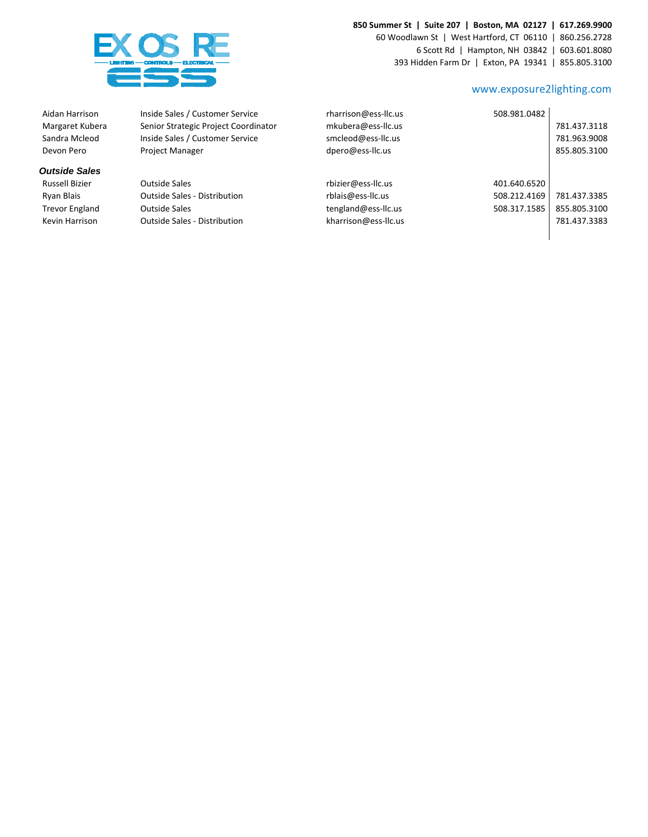### **850 Summer St | Suite 207 | Boston, MA 02127 | 617.269.9900**





#### www.exposure2lighting.com

Î.

Aidan Harrison Inside Sales / Customer Service Margaret Kubera Senior Strategic Project Coordinator Devon Pero Project Manager

#### *Outside Sales*

| Aidan Harrison       | Inside Sales / Customer Service      | rharrison@ess-llc.us | 508.981.0482 |              |
|----------------------|--------------------------------------|----------------------|--------------|--------------|
| Margaret Kubera      | Senior Strategic Project Coordinator | mkubera@ess-llc.us   |              | 781.437.3118 |
| Sandra Mcleod        | Inside Sales / Customer Service      | smcleod@ess-llc.us   |              | 781.963.9008 |
| Devon Pero           | <b>Project Manager</b>               | dpero@ess-llc.us     |              | 855.805.3100 |
| <b>Dutside Sales</b> |                                      |                      |              |              |
| Russell Bizier       | <b>Outside Sales</b>                 | rbizier@ess-llc.us   | 401.640.6520 |              |
| Ryan Blais           | <b>Outside Sales - Distribution</b>  | rblais@ess-llc.us    | 508.212.4169 | 781.437.3385 |
| Trevor England       | <b>Outside Sales</b>                 | tengland@ess-llc.us  | 508.317.1585 | 855.805.3100 |
| Kevin Harrison       | <b>Outside Sales - Distribution</b>  | kharrison@ess-llc.us |              | 781.437.3383 |
|                      |                                      |                      |              |              |